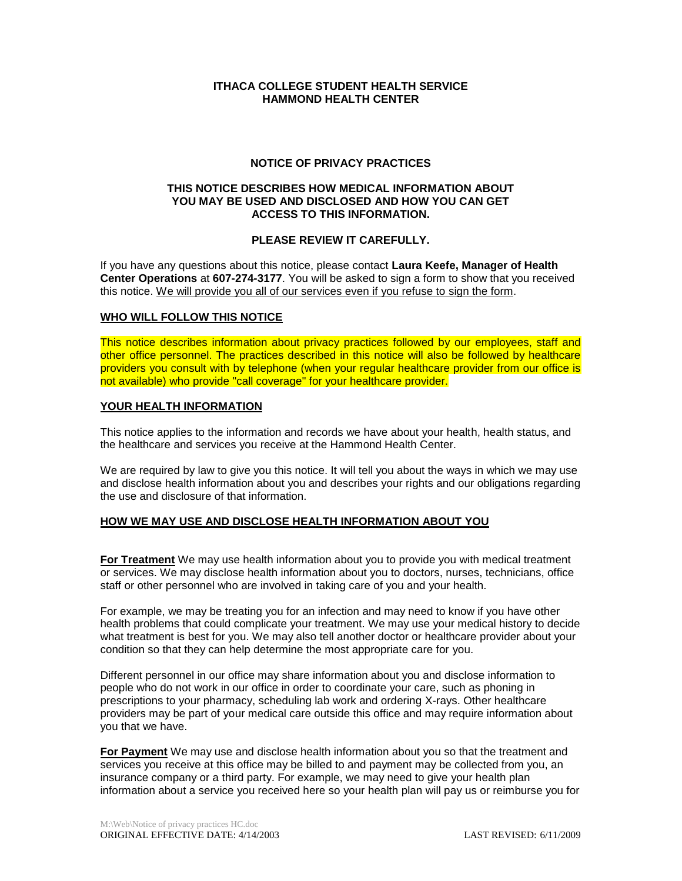# **ITHACA COLLEGE STUDENT HEALTH SERVICE HAMMOND HEALTH CENTER**

## **NOTICE OF PRIVACY PRACTICES**

#### **THIS NOTICE DESCRIBES HOW MEDICAL INFORMATION ABOUT YOU MAY BE USED AND DISCLOSED AND HOW YOU CAN GET ACCESS TO THIS INFORMATION.**

# **PLEASE REVIEW IT CAREFULLY.**

If you have any questions about this notice, please contact **Laura Keefe, Manager of Health Center Operations** at **607-274-3177**. You will be asked to sign a form to show that you received this notice. We will provide you all of our services even if you refuse to sign the form.

# **WHO WILL FOLLOW THIS NOTICE**

This notice describes information about privacy practices followed by our employees, staff and other office personnel. The practices described in this notice will also be followed by healthcare providers you consult with by telephone (when your regular healthcare provider from our office is not available) who provide "call coverage" for your healthcare provider.

### **YOUR HEALTH INFORMATION**

This notice applies to the information and records we have about your health, health status, and the healthcare and services you receive at the Hammond Health Center.

We are required by law to give you this notice. It will tell you about the ways in which we may use and disclose health information about you and describes your rights and our obligations regarding the use and disclosure of that information.

## **HOW WE MAY USE AND DISCLOSE HEALTH INFORMATION ABOUT YOU**

**For Treatment** We may use health information about you to provide you with medical treatment or services. We may disclose health information about you to doctors, nurses, technicians, office staff or other personnel who are involved in taking care of you and your health.

For example, we may be treating you for an infection and may need to know if you have other health problems that could complicate your treatment. We may use your medical history to decide what treatment is best for you. We may also tell another doctor or healthcare provider about your condition so that they can help determine the most appropriate care for you.

Different personnel in our office may share information about you and disclose information to people who do not work in our office in order to coordinate your care, such as phoning in prescriptions to your pharmacy, scheduling lab work and ordering X-rays. Other healthcare providers may be part of your medical care outside this office and may require information about you that we have.

**For Payment** We may use and disclose health information about you so that the treatment and services you receive at this office may be billed to and payment may be collected from you, an insurance company or a third party. For example, we may need to give your health plan information about a service you received here so your health plan will pay us or reimburse you for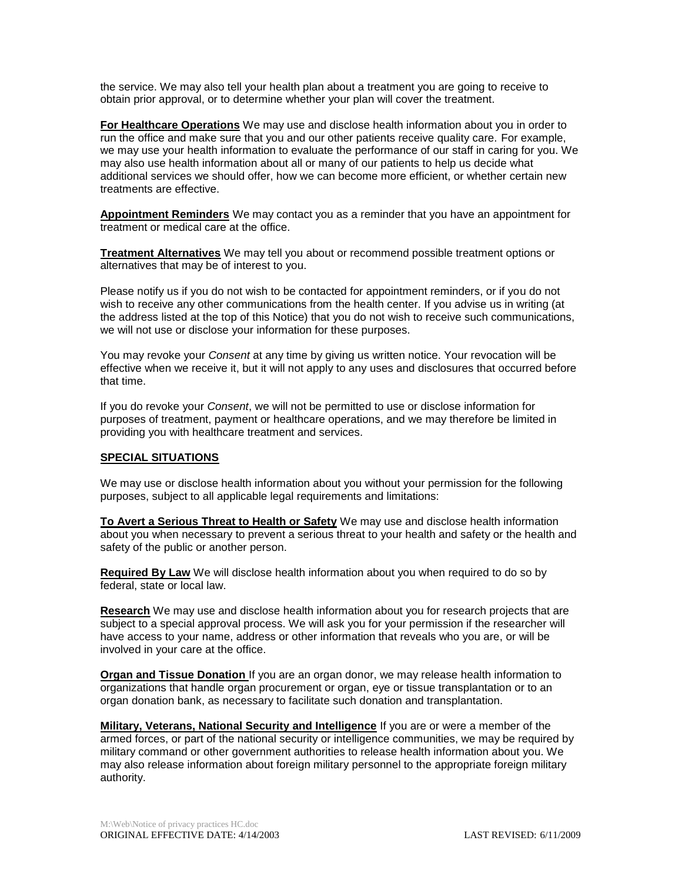the service. We may also tell your health plan about a treatment you are going to receive to obtain prior approval, or to determine whether your plan will cover the treatment.

**For Healthcare Operations** We may use and disclose health information about you in order to run the office and make sure that you and our other patients receive quality care. For example, we may use your health information to evaluate the performance of our staff in caring for you. We may also use health information about all or many of our patients to help us decide what additional services we should offer, how we can become more efficient, or whether certain new treatments are effective.

**Appointment Reminders** We may contact you as a reminder that you have an appointment for treatment or medical care at the office.

**Treatment Alternatives** We may tell you about or recommend possible treatment options or alternatives that may be of interest to you.

Please notify us if you do not wish to be contacted for appointment reminders, or if you do not wish to receive any other communications from the health center. If you advise us in writing (at the address listed at the top of this Notice) that you do not wish to receive such communications, we will not use or disclose your information for these purposes.

You may revoke your *Consent* at any time by giving us written notice. Your revocation will be effective when we receive it, but it will not apply to any uses and disclosures that occurred before that time.

If you do revoke your *Consent*, we will not be permitted to use or disclose information for purposes of treatment, payment or healthcare operations, and we may therefore be limited in providing you with healthcare treatment and services.

### **SPECIAL SITUATIONS**

We may use or disclose health information about you without your permission for the following purposes, subject to all applicable legal requirements and limitations:

**To Avert a Serious Threat to Health or Safety** We may use and disclose health information about you when necessary to prevent a serious threat to your health and safety or the health and safety of the public or another person.

**Required By Law** We will disclose health information about you when required to do so by federal, state or local law.

**Research** We may use and disclose health information about you for research projects that are subject to a special approval process. We will ask you for your permission if the researcher will have access to your name, address or other information that reveals who you are, or will be involved in your care at the office.

**Organ and Tissue Donation** If you are an organ donor, we may release health information to organizations that handle organ procurement or organ, eye or tissue transplantation or to an organ donation bank, as necessary to facilitate such donation and transplantation.

**Military, Veterans, National Security and Intelligence** If you are or were a member of the armed forces, or part of the national security or intelligence communities, we may be required by military command or other government authorities to release health information about you. We may also release information about foreign military personnel to the appropriate foreign military authority.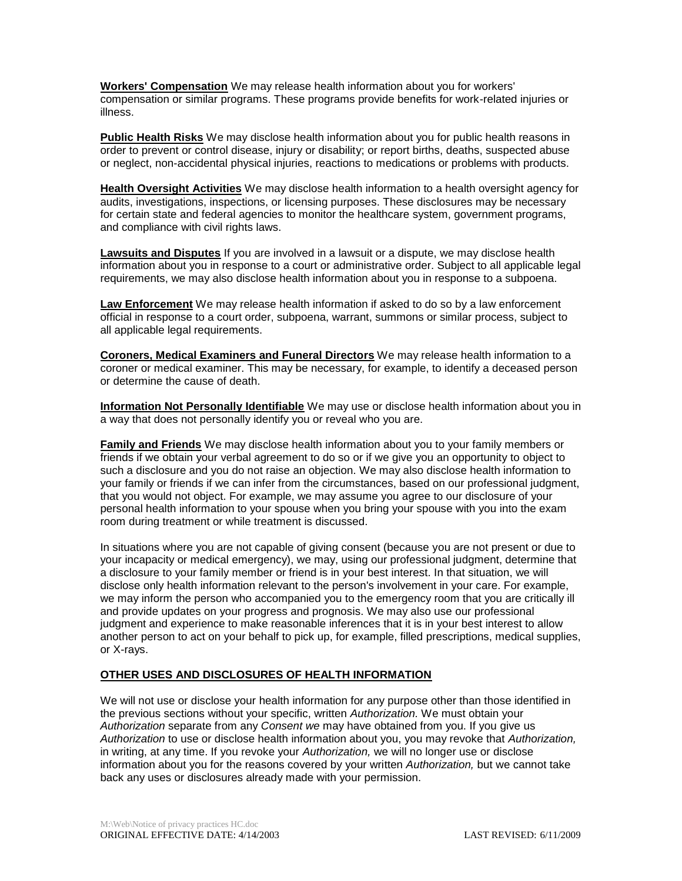**Workers' Compensation** We may release health information about you for workers' compensation or similar programs. These programs provide benefits for work-related injuries or illness.

**Public Health Risks** We may disclose health information about you for public health reasons in order to prevent or control disease, injury or disability; or report births, deaths, suspected abuse or neglect, non-accidental physical injuries, reactions to medications or problems with products.

**Health Oversight Activities** We may disclose health information to a health oversight agency for audits, investigations, inspections, or licensing purposes. These disclosures may be necessary for certain state and federal agencies to monitor the healthcare system, government programs, and compliance with civil rights laws.

**Lawsuits and Disputes** If you are involved in a lawsuit or a dispute, we may disclose health information about you in response to a court or administrative order. Subject to all applicable legal requirements, we may also disclose health information about you in response to a subpoena.

**Law Enforcement** We may release health information if asked to do so by a law enforcement official in response to a court order, subpoena, warrant, summons or similar process, subject to all applicable legal requirements.

**Coroners, Medical Examiners and Funeral Directors** We may release health information to a coroner or medical examiner. This may be necessary, for example, to identify a deceased person or determine the cause of death.

**Information Not Personally Identifiable** We may use or disclose health information about you in a way that does not personally identify you or reveal who you are.

**Family and Friends** We may disclose health information about you to your family members or friends if we obtain your verbal agreement to do so or if we give you an opportunity to object to such a disclosure and you do not raise an objection. We may also disclose health information to your family or friends if we can infer from the circumstances, based on our professional judgment, that you would not object. For example, we may assume you agree to our disclosure of your personal health information to your spouse when you bring your spouse with you into the exam room during treatment or while treatment is discussed.

In situations where you are not capable of giving consent (because you are not present or due to your incapacity or medical emergency), we may, using our professional judgment, determine that a disclosure to your family member or friend is in your best interest. In that situation, we will disclose only health information relevant to the person's involvement in your care. For example, we may inform the person who accompanied you to the emergency room that you are critically ill and provide updates on your progress and prognosis. We may also use our professional judgment and experience to make reasonable inferences that it is in your best interest to allow another person to act on your behalf to pick up, for example, filled prescriptions, medical supplies, or X-rays.

# **OTHER USES AND DISCLOSURES OF HEALTH INFORMATION**

We will not use or disclose your health information for any purpose other than those identified in the previous sections without your specific, written *Authorization.* We must obtain your *Authorization* separate from any *Consent we* may have obtained from you. If you give us *Authorization* to use or disclose health information about you, you may revoke that *Authorization,*  in writing, at any time. If you revoke your *Authorization,* we will no longer use or disclose information about you for the reasons covered by your written *Authorization,* but we cannot take back any uses or disclosures already made with your permission.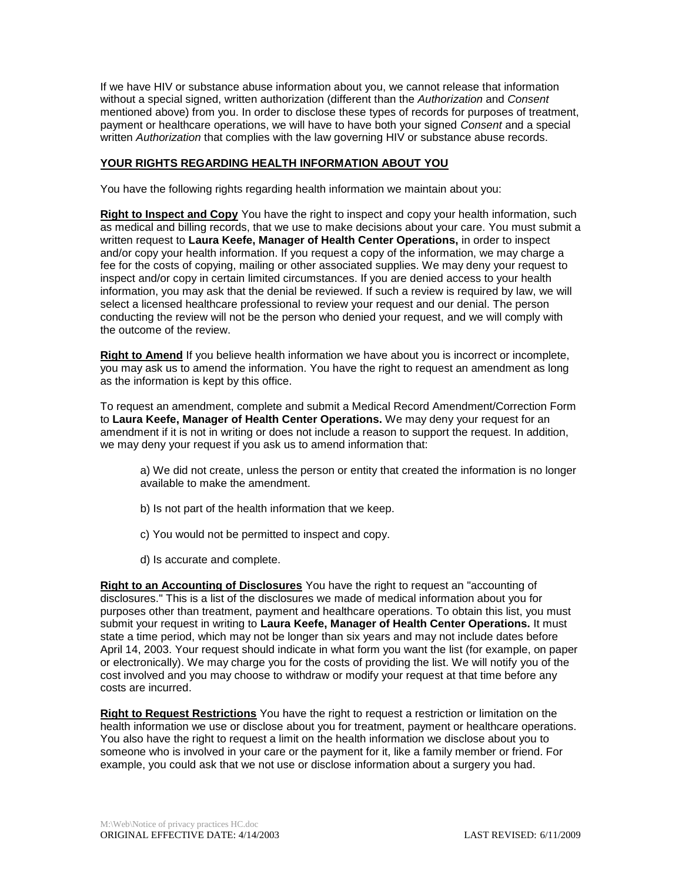If we have HIV or substance abuse information about you, we cannot release that information without a special signed, written authorization (different than the *Authorization* and *Consent*  mentioned above) from you. In order to disclose these types of records for purposes of treatment, payment or healthcare operations, we will have to have both your signed *Consent* and a special written *Authorization* that complies with the law governing HIV or substance abuse records.

# **YOUR RIGHTS REGARDING HEALTH INFORMATION ABOUT YOU**

You have the following rights regarding health information we maintain about you:

**Right to Inspect and Copy** You have the right to inspect and copy your health information, such as medical and billing records, that we use to make decisions about your care. You must submit a written request to **Laura Keefe, Manager of Health Center Operations,** in order to inspect and/or copy your health information. If you request a copy of the information, we may charge a fee for the costs of copying, mailing or other associated supplies. We may deny your request to inspect and/or copy in certain limited circumstances. If you are denied access to your health information, you may ask that the denial be reviewed. If such a review is required by law, we will select a licensed healthcare professional to review your request and our denial. The person conducting the review will not be the person who denied your request, and we will comply with the outcome of the review.

**Right to Amend** If you believe health information we have about you is incorrect or incomplete, you may ask us to amend the information. You have the right to request an amendment as long as the information is kept by this office.

To request an amendment, complete and submit a Medical Record Amendment/Correction Form to **Laura Keefe, Manager of Health Center Operations.** We may deny your request for an amendment if it is not in writing or does not include a reason to support the request. In addition, we may deny your request if you ask us to amend information that:

a) We did not create, unless the person or entity that created the information is no longer available to make the amendment.

- b) Is not part of the health information that we keep.
- c) You would not be permitted to inspect and copy.
- d) Is accurate and complete.

**Right to an Accounting of Disclosures** You have the right to request an "accounting of disclosures." This is a list of the disclosures we made of medical information about you for purposes other than treatment, payment and healthcare operations. To obtain this list, you must submit your request in writing to **Laura Keefe, Manager of Health Center Operations.** It must state a time period, which may not be longer than six years and may not include dates before April 14, 2003. Your request should indicate in what form you want the list (for example, on paper or electronically). We may charge you for the costs of providing the list. We will notify you of the cost involved and you may choose to withdraw or modify your request at that time before any costs are incurred.

**Right to Request Restrictions** You have the right to request a restriction or limitation on the health information we use or disclose about you for treatment, payment or healthcare operations. You also have the right to request a limit on the health information we disclose about you to someone who is involved in your care or the payment for it, like a family member or friend. For example, you could ask that we not use or disclose information about a surgery you had.